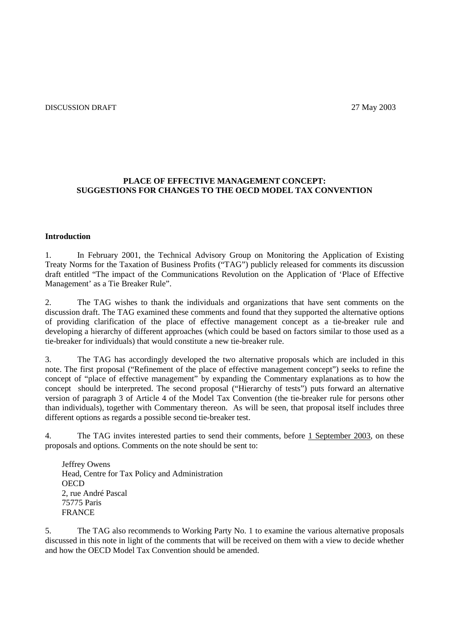## **PLACE OF EFFECTIVE MANAGEMENT CONCEPT: SUGGESTIONS FOR CHANGES TO THE OECD MODEL TAX CONVENTION**

## **Introduction**

1. In February 2001, the Technical Advisory Group on Monitoring the Application of Existing Treaty Norms for the Taxation of Business Profits ("TAG") publicly released for comments its discussion draft entitled "The impact of the Communications Revolution on the Application of 'Place of Effective Management' as a Tie Breaker Rule".

2. The TAG wishes to thank the individuals and organizations that have sent comments on the discussion draft. The TAG examined these comments and found that they supported the alternative options of providing clarification of the place of effective management concept as a tie-breaker rule and developing a hierarchy of different approaches (which could be based on factors similar to those used as a tie-breaker for individuals) that would constitute a new tie-breaker rule.

3. The TAG has accordingly developed the two alternative proposals which are included in this note. The first proposal ("Refinement of the place of effective management concept") seeks to refine the concept of "place of effective management" by expanding the Commentary explanations as to how the concept should be interpreted. The second proposal ("Hierarchy of tests") puts forward an alternative version of paragraph 3 of Article 4 of the Model Tax Convention (the tie-breaker rule for persons other than individuals), together with Commentary thereon. As will be seen, that proposal itself includes three different options as regards a possible second tie-breaker test.

4. The TAG invites interested parties to send their comments, before 1 September 2003, on these proposals and options. Comments on the note should be sent to:

Jeffrey Owens Head, Centre for Tax Policy and Administration **OECD** 2, rue André Pascal 75775 Paris FRANCE

5. The TAG also recommends to Working Party No. 1 to examine the various alternative proposals discussed in this note in light of the comments that will be received on them with a view to decide whether and how the OECD Model Tax Convention should be amended.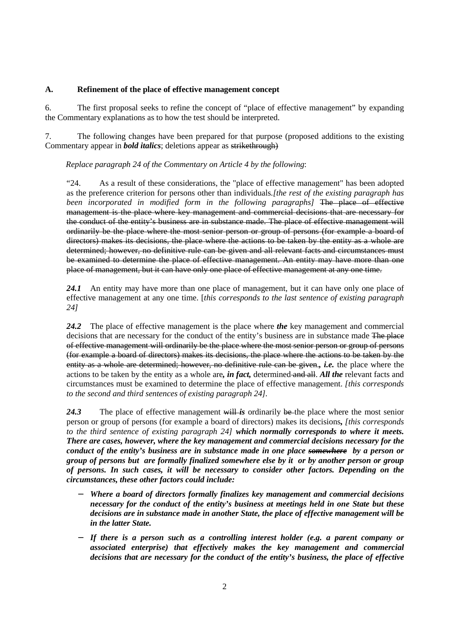## **A. Refinement of the place of effective management concept**

6. The first proposal seeks to refine the concept of "place of effective management" by expanding the Commentary explanations as to how the test should be interpreted.

7. The following changes have been prepared for that purpose (proposed additions to the existing Commentary appear in *bold italics*; deletions appear as strikethrough)

*Replace paragraph 24 of the Commentary on Article 4 by the following*:

"24. As a result of these considerations, the "place of effective management" has been adopted as the preference criterion for persons other than individuals*.[the rest of the existing paragraph has been incorporated in modified form in the following paragraphs]* The place of effective management is the place where key management and commercial decisions that are necessary for the conduct of the entity's business are in substance made. The place of effective management will ordinarily be the place where the most senior person or group of persons (for example a board of directors) makes its decisions, the place where the actions to be taken by the entity as a whole are determined; however, no definitive rule can be given and all relevant facts and circumstances must be examined to determine the place of effective management. An entity may have more than one place of management, but it can have only one place of effective management at any one time.

24.1 An entity may have more than one place of management, but it can have only one place of effective management at any one time. [*this corresponds to the last sentence of existing paragraph 24]* 

*24.2* The place of effective management is the place where *the* key management and commercial decisions that are necessary for the conduct of the entity's business are in substance made The place of effective management will ordinarily be the place where the most senior person or group of persons (for example a board of directors) makes its decisions, the place where the actions to be taken by the entity as a whole are determined; however, no definitive rule can be given.*, i.e.* the place where the actions to be taken by the entity as a whole are*, in fact,* determined and all. *All the* relevant facts and circumstances must be examined to determine the place of effective management. *[this corresponds to the second and third sentences of existing paragraph 24].* 

24.3 The place of effective management will *is* ordinarily be the place where the most senior person or group of persons (for example a board of directors) makes its decisions*, [this corresponds to the third sentence of existing paragraph 24] which normally corresponds to where it meets. There are cases, however, where the key management and commercial decisions necessary for the conduct of the entity's business are in substance made in one place somewhere by a person or group of persons but are formally finalized somewhere else by it or by another person or group of persons. In such cases, it will be necessary to consider other factors. Depending on the circumstances, these other factors could include:* 

- − *Where a board of directors formally finalizes key management and commercial decisions necessary for the conduct of the entity's business at meetings held in one State but these decisions are in substance made in another State, the place of effective management will be in the latter State.*
- − *If there is a person such as a controlling interest holder (e.g. a parent company or associated enterprise) that effectively makes the key management and commercial decisions that are necessary for the conduct of the entity's business, the place of effective*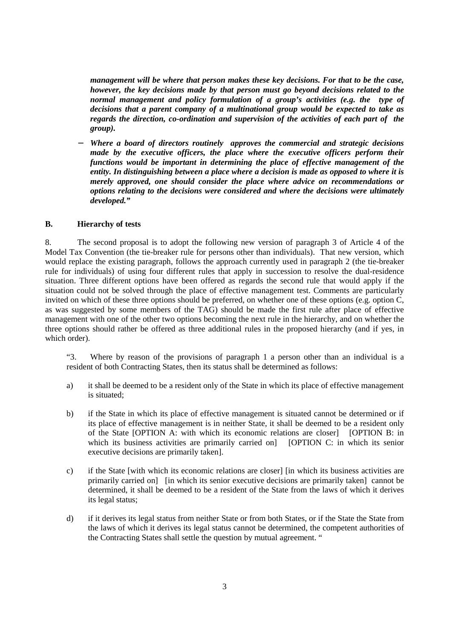*management will be where that person makes these key decisions. For that to be the case, however, the key decisions made by that person must go beyond decisions related to the normal management and policy formulation of a group's activities (e.g. the type of decisions that a parent company of a multinational group would be expected to take as regards the direction, co-ordination and supervision of the activities of each part of the group).* 

− *Where a board of directors routinely approves the commercial and strategic decisions made by the executive officers, the place where the executive officers perform their functions would be important in determining the place of effective management of the entity. In distinguishing between a place where a decision is made as opposed to where it is merely approved, one should consider the place where advice on recommendations or options relating to the decisions were considered and where the decisions were ultimately developed."* 

## **B. Hierarchy of tests**

8. The second proposal is to adopt the following new version of paragraph 3 of Article 4 of the Model Tax Convention (the tie-breaker rule for persons other than individuals). That new version, which would replace the existing paragraph, follows the approach currently used in paragraph 2 (the tie-breaker rule for individuals) of using four different rules that apply in succession to resolve the dual-residence situation. Three different options have been offered as regards the second rule that would apply if the situation could not be solved through the place of effective management test. Comments are particularly invited on which of these three options should be preferred, on whether one of these options (e.g. option C, as was suggested by some members of the TAG) should be made the first rule after place of effective management with one of the other two options becoming the next rule in the hierarchy, and on whether the three options should rather be offered as three additional rules in the proposed hierarchy (and if yes, in which order).

"3. Where by reason of the provisions of paragraph 1 a person other than an individual is a resident of both Contracting States, then its status shall be determined as follows:

- a) it shall be deemed to be a resident only of the State in which its place of effective management is situated;
- b) if the State in which its place of effective management is situated cannot be determined or if its place of effective management is in neither State, it shall be deemed to be a resident only of the State [OPTION A: with which its economic relations are closer] [OPTION B: in which its business activities are primarily carried on] [OPTION C: in which its senior executive decisions are primarily taken].
- c) if the State [with which its economic relations are closer] [in which its business activities are primarily carried on] [in which its senior executive decisions are primarily taken] cannot be determined, it shall be deemed to be a resident of the State from the laws of which it derives its legal status;
- d) if it derives its legal status from neither State or from both States, or if the State the State from the laws of which it derives its legal status cannot be determined, the competent authorities of the Contracting States shall settle the question by mutual agreement. "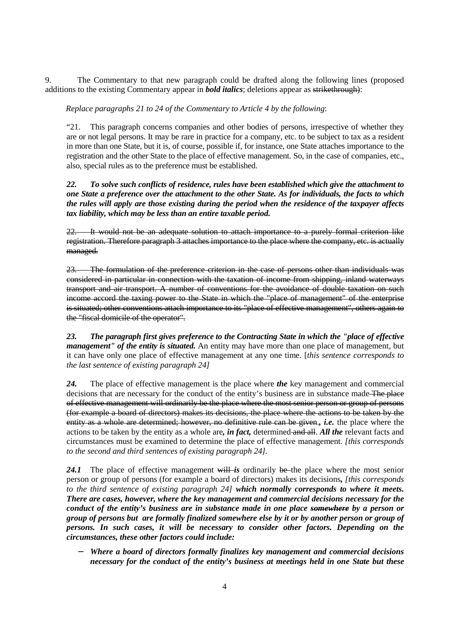9. The Commentary to that new paragraph could be drafted along the following lines (proposed additions to the existing Commentary appear in *bold italics*; deletions appear as strikethrough):

*Replace paragraphs 21 to 24 of the Commentary to Article 4 by the following*:

"21. This paragraph concerns companies and other bodies of persons, irrespective of whether they are or not legal persons. It may be rare in practice for a company, etc. to be subject to tax as a resident in more than one State, but it is, of course, possible if, for instance, one State attaches importance to the registration and the other State to the place of effective management. So, in the case of companies, etc., also, special rules as to the preference must be established.

*22. To solve such conflicts of residence, rules have been established which give the attachment to one State a preference over the attachment to the other State. As for individuals, the facts to which the rules will apply are those existing during the period when the residence of the taxpayer affects tax liability, which may be less than an entire taxable period.* 

22. It would not be an adequate solution to attach importance to a purely formal criterion like registration. Therefore paragraph 3 attaches importance to the place where the company, etc. is actually managed.

23. The formulation of the preference criterion in the case of persons other than individuals was considered in particular in connection with the taxation of income from shipping, inland waterways transport and air transport. A number of conventions for the avoidance of double taxation on such income accord the taxing power to the State in which the "place of management" of the enterprise is situated; other conventions attach importance to its "place of effective management", others again to the "fiscal domicile of the operator".

*23. The paragraph first gives preference to the Contracting State in which the "place of effective management" of the entity is situated.* An entity may have more than one place of management, but it can have only one place of effective management at any one time. [*this sentence corresponds to the last sentence of existing paragraph 24]* 

*24.* The place of effective management is the place where *the* key management and commercial decisions that are necessary for the conduct of the entity's business are in substance made The place of effective management will ordinarily be the place where the most senior person or group of persons (for example a board of directors) makes its decisions, the place where the actions to be taken by the entity as a whole are determined; however, no definitive rule can be given.*, i.e.* the place where the actions to be taken by the entity as a whole are*, in fact,* determined and all. *All the* relevant facts and circumstances must be examined to determine the place of effective management. *[this corresponds to the second and third sentences of existing paragraph 24].* 

24.1 The place of effective management will *is* ordinarily be the place where the most senior person or group of persons (for example a board of directors) makes its decisions*, [this corresponds to the third sentence of existing paragraph 24] which normally corresponds to where it meets. There are cases, however, where the key management and commercial decisions necessary for the conduct of the entity's business are in substance made in one place somewhere by a person or group of persons but are formally finalized somewhere else by it or by another person or group of persons. In such cases, it will be necessary to consider other factors. Depending on the circumstances, these other factors could include:* 

− *Where a board of directors formally finalizes key management and commercial decisions necessary for the conduct of the entity's business at meetings held in one State but these*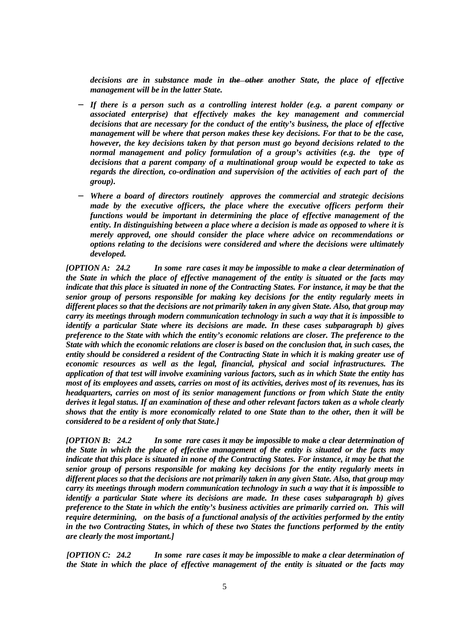*decisions are in substance made in the other another State, the place of effective management will be in the latter State.* 

- − *If there is a person such as a controlling interest holder (e.g. a parent company or associated enterprise) that effectively makes the key management and commercial decisions that are necessary for the conduct of the entity's business, the place of effective management will be where that person makes these key decisions. For that to be the case, however, the key decisions taken by that person must go beyond decisions related to the normal management and policy formulation of a group's activities (e.g. the type of decisions that a parent company of a multinational group would be expected to take as regards the direction, co-ordination and supervision of the activities of each part of the group).*
- − *Where a board of directors routinely approves the commercial and strategic decisions made by the executive officers, the place where the executive officers perform their functions would be important in determining the place of effective management of the entity. In distinguishing between a place where a decision is made as opposed to where it is merely approved, one should consider the place where advice on recommendations or options relating to the decisions were considered and where the decisions were ultimately developed.*

*[OPTION A: 24.2 In some rare cases it may be impossible to make a clear determination of the State in which the place of effective management of the entity is situated or the facts may indicate that this place is situated in none of the Contracting States. For instance, it may be that the senior group of persons responsible for making key decisions for the entity regularly meets in different places so that the decisions are not primarily taken in any given State. Also, that group may carry its meetings through modern communication technology in such a way that it is impossible to identify a particular State where its decisions are made. In these cases subparagraph b) gives preference to the State with which the entity's economic relations are closer. The preference to the State with which the economic relations are closer is based on the conclusion that, in such cases, the entity should be considered a resident of the Contracting State in which it is making greater use of economic resources as well as the legal, financial, physical and social infrastructures. The application of that test will involve examining various factors, such as in which State the entity has most of its employees and assets, carries on most of its activities, derives most of its revenues, has its headquarters, carries on most of its senior management functions or from which State the entity derives it legal status. If an examination of these and other relevant factors taken as a whole clearly shows that the entity is more economically related to one State than to the other, then it will be considered to be a resident of only that State.]*

*[OPTION B: 24.2 In some rare cases it may be impossible to make a clear determination of the State in which the place of effective management of the entity is situated or the facts may indicate that this place is situated in none of the Contracting States. For instance, it may be that the senior group of persons responsible for making key decisions for the entity regularly meets in different places so that the decisions are not primarily taken in any given State. Also, that group may carry its meetings through modern communication technology in such a way that it is impossible to identify a particular State where its decisions are made. In these cases subparagraph b) gives preference to the State in which the entity's business activities are primarily carried on. This will require determining, on the basis of a functional analysis of the activities performed by the entity in the two Contracting States, in which of these two States the functions performed by the entity are clearly the most important.]* 

*[OPTION C: 24.2 In some rare cases it may be impossible to make a clear determination of the State in which the place of effective management of the entity is situated or the facts may*